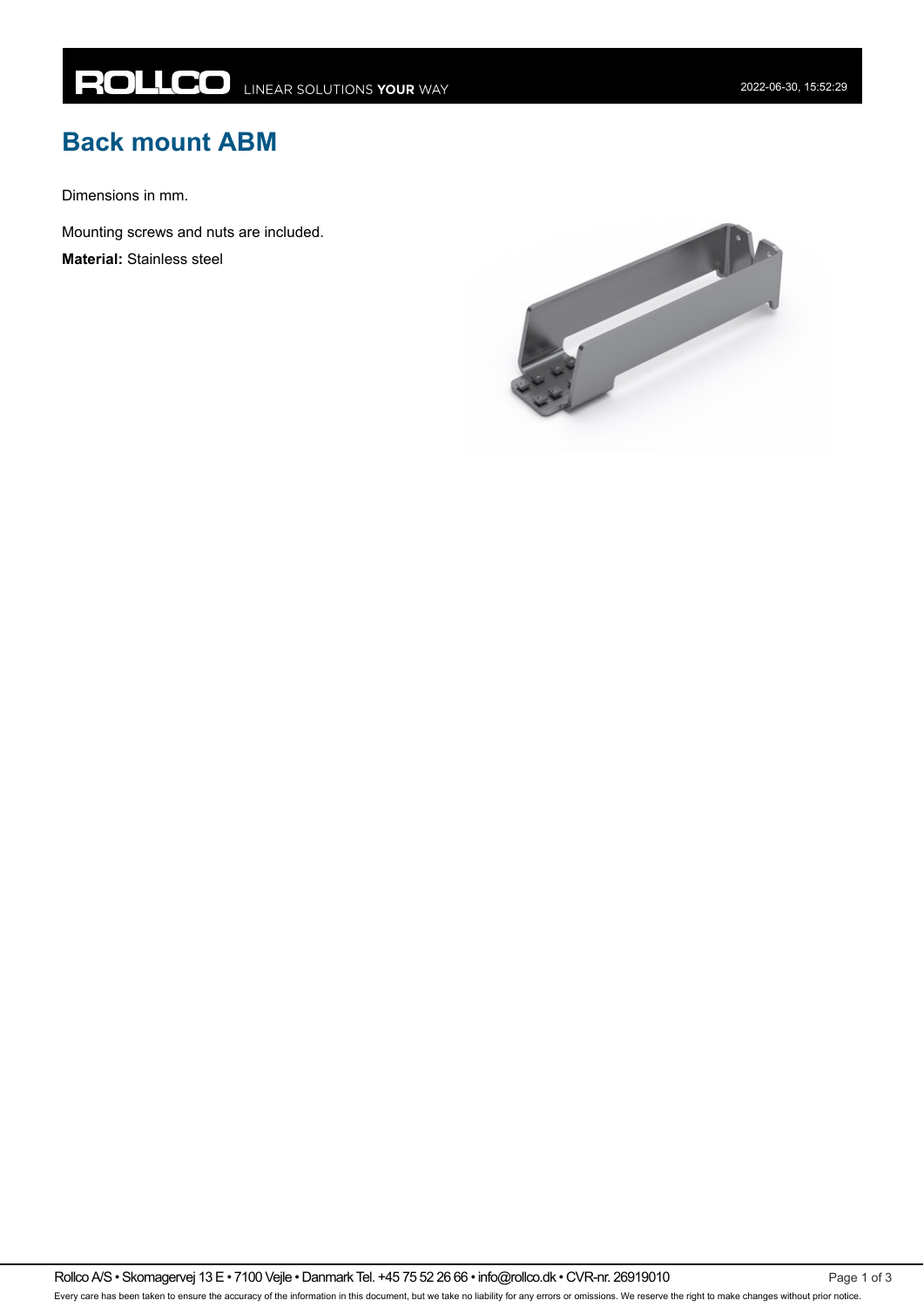## **Back mount ABM**

Dimensions in mm.

Mounting screws and nuts are included.

**Material:** Stainless steel

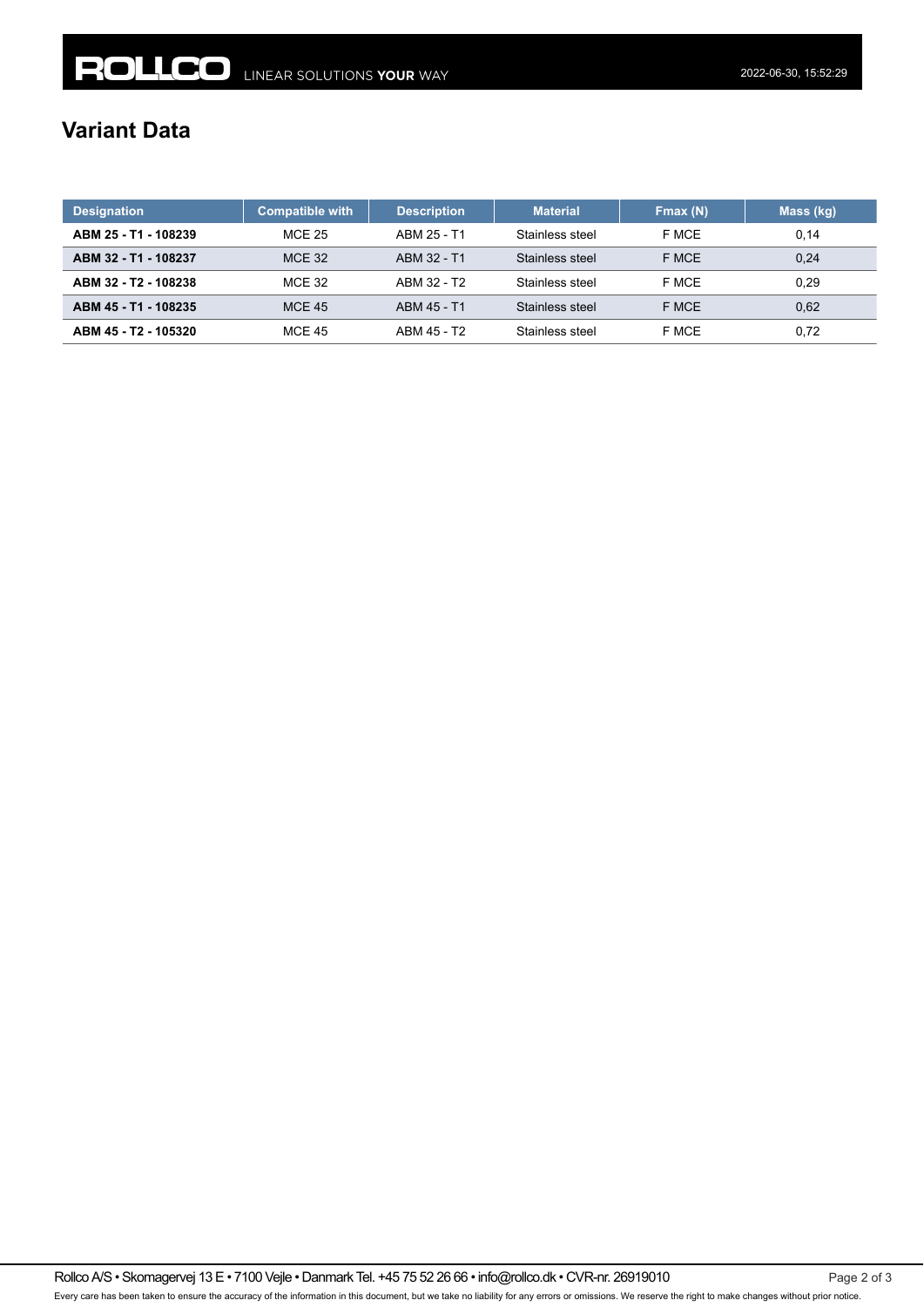## **Variant Data**

| <b>Designation</b>   | <b>Compatible with</b> | <b>Description</b> | <b>Material</b> | Fmax(N) | Mass (kg) |
|----------------------|------------------------|--------------------|-----------------|---------|-----------|
| ABM 25 - T1 - 108239 | <b>MCE 25</b>          | ARM 25 - T1        | Stainless steel | F MCE   | 0,14      |
| ABM 32 - T1 - 108237 | <b>MCE 32</b>          | ABM 32 - T1        | Stainless steel | F MCE   | 0.24      |
| ABM 32 - T2 - 108238 | <b>MCE 32</b>          | ABM 32 - T2        | Stainless steel | F MCE   | 0.29      |
| ABM 45 - T1 - 108235 | <b>MCE 45</b>          | ARM 45 - T1        | Stainless steel | F MCE   | 0,62      |
| ABM 45 - T2 - 105320 | <b>MCE 45</b>          | ABM 45 - T2        | Stainless steel | F MCE   | 0.72      |

Rollco A/S • Skomagervej 13 E • 7100 Vejle • Danmark Tel. +45 75 52 26 66 • info@rollco.dk • CVR-nr. 26919010